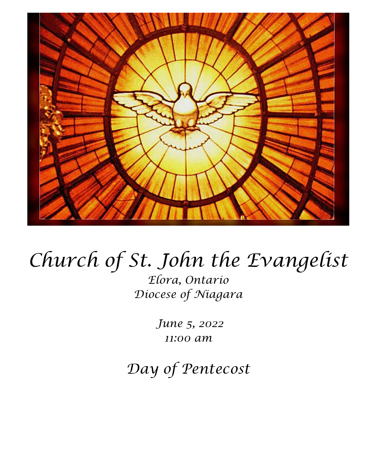

# *Church of St. John the Evangelist*

*Elora, Ontario Diocese of Niagara*

> *June 5, 2022 11:00 am*

*Day of Pentecost*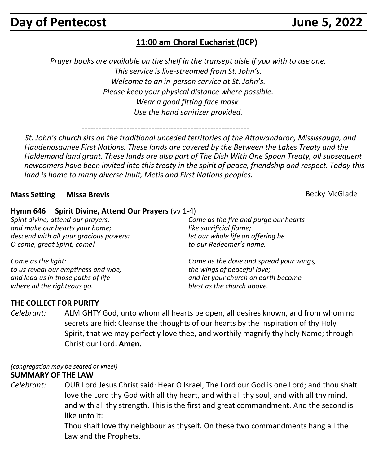# **Day of Pentecost Contract Contract Contract Contract Contract Contract Contract Contract Contract Contract Contract Contract Contract Contract Contract Contract Contract Contract Contract Contract Contract Contract Cont**

## **11:00 am Choral Eucharist (BCP)**

*Prayer books are available on the shelf in the transept aisle if you with to use one. This service is live-streamed from St. John's. Welcome to an in-person service at St. John's. Please keep your physical distance where possible. Wear a good fitting face mask. Use the hand sanitizer provided.*

------------------------------------------------------------

 *St. John's church sits on the traditional unceded territories of the Attawandaron, Mississauga, and Haudenosaunee First Nations. These lands are covered by the Between the Lakes Treaty and the Haldemand land grant. These lands are also part of The Dish With One Spoon Treaty, all subsequent newcomers have been invited into this treaty in the spirit of peace, friendship and respect. Today this land is home to many diverse Inuit, Metis and First Nations peoples.* 

#### **Mass Setting Missa Brevis** Becky McGlade Becky McGlade Becky McGlade Becky McGlade Becky McGlade Becky McGlade

#### **Hymn 646 Spirit Divine, Attend Our Prayers** (vv 1-4)

*Spirit divine, attend our prayers, and make our hearts your home; descend with all your gracious powers: O come, great Spirit, come!*

*Come as the fire and purge our hearts like sacrificial flame; let our whole life an offering be to our Redeemer's name.*

*Come as the light: to us reveal our emptiness and woe, and lead us in those paths of life where all the righteous go.*

*Come as the dove and spread your wings, the wings of peaceful love; and let your church on earth become blest as the church above.*

#### **THE COLLECT FOR PURITY**

*Celebrant:* ALMIGHTY God, unto whom all hearts be open, all desires known, and from whom no secrets are hid: Cleanse the thoughts of our hearts by the inspiration of thy Holy Spirit, that we may perfectly love thee, and worthily magnify thy holy Name; through Christ our Lord. **Amen.**

#### *(congregation may be seated or kneel)*

#### **SUMMARY OF THE LAW**

*Celebrant:* OUR Lord Jesus Christ said: Hear O Israel, The Lord our God is one Lord; and thou shalt love the Lord thy God with all thy heart, and with all thy soul, and with all thy mind, and with all thy strength. This is the first and great commandment. And the second is like unto it:

> Thou shalt love thy neighbour as thyself. On these two commandments hang all the Law and the Prophets.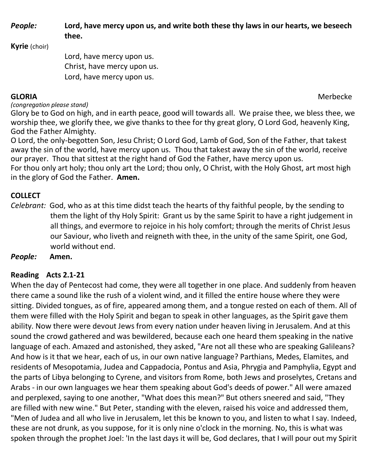*People:* **Lord, have mercy upon us, and write both these thy laws in our hearts, we beseech thee.**

**Kyrie** (choir)

Lord, have mercy upon us. Christ, have mercy upon us. Lord, have mercy upon us.

**GLORIA** Merbecke

*(congregation please stand)*

Glory be to God on high, and in earth peace, good will towards all. We praise thee, we bless thee, we worship thee, we glorify thee, we give thanks to thee for thy great glory, O Lord God, heavenly King, God the Father Almighty.

O Lord, the only-begotten Son, Jesu Christ; O Lord God, Lamb of God, Son of the Father, that takest away the sin of the world, have mercy upon us. Thou that takest away the sin of the world, receive our prayer. Thou that sittest at the right hand of God the Father, have mercy upon us.

For thou only art holy; thou only art the Lord; thou only, O Christ, with the Holy Ghost, art most high in the glory of God the Father. **Amen.**

### **COLLECT**

*Celebrant:* God, who as at this time didst teach the hearts of thy faithful people, by the sending to them the light of thy Holy Spirit: Grant us by the same Spirit to have a right judgement in all things, and evermore to rejoice in his holy comfort; through the merits of Christ Jesus our Saviour, who liveth and reigneth with thee, in the unity of the same Spirit, one God, world without end.

*People:* **Amen.**

### **Reading Acts 2.1-21**

When the day of Pentecost had come, they were all together in one place. And suddenly from heaven there came a sound like the rush of a violent wind, and it filled the entire house where they were sitting. Divided tongues, as of fire, appeared among them, and a tongue rested on each of them. All of them were filled with the Holy Spirit and began to speak in other languages, as the Spirit gave them ability. Now there were devout Jews from every nation under heaven living in Jerusalem. And at this sound the crowd gathered and was bewildered, because each one heard them speaking in the native language of each. Amazed and astonished, they asked, "Are not all these who are speaking Galileans? And how is it that we hear, each of us, in our own native language? Parthians, Medes, Elamites, and residents of Mesopotamia, Judea and Cappadocia, Pontus and Asia, Phrygia and Pamphylia, Egypt and the parts of Libya belonging to Cyrene, and visitors from Rome, both Jews and proselytes, Cretans and Arabs - in our own languages we hear them speaking about God's deeds of power." All were amazed and perplexed, saying to one another, "What does this mean?" But others sneered and said, "They are filled with new wine." But Peter, standing with the eleven, raised his voice and addressed them, "Men of Judea and all who live in Jerusalem, let this be known to you, and listen to what I say. Indeed, these are not drunk, as you suppose, for it is only nine o'clock in the morning. No, this is what was spoken through the prophet Joel: 'In the last days it will be, God declares, that I will pour out my Spirit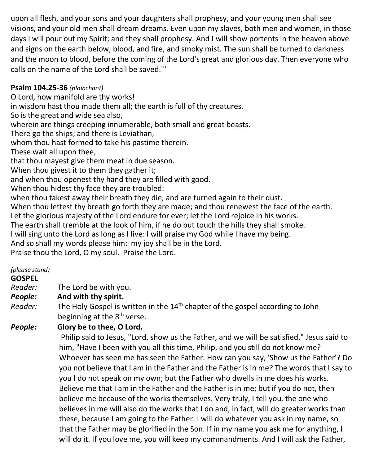upon all flesh, and your sons and your daughters shall prophesy, and your young men shall see visions, and your old men shall dream dreams. Even upon my slaves, both men and women, in those days I will pour out my Spirit; and they shall prophesy. And I will show portents in the heaven above and signs on the earth below, blood, and fire, and smoky mist. The sun shall be turned to darkness and the moon to blood, before the coming of the Lord's great and glorious day. Then everyone who calls on the name of the Lord shall be saved.'"

#### **Psalm 104.25-36** *(plainchant)*

O Lord, how manifold are thy works! in wisdom hast thou made them all; the earth is full of thy creatures. So is the great and wide sea also, wherein are things creeping innumerable, both small and great beasts. There go the ships; and there is Leviathan, whom thou hast formed to take his pastime therein. These wait all upon thee, that thou mayest give them meat in due season. When thou givest it to them they gather it; and when thou openest thy hand they are filled with good. When thou hidest thy face they are troubled: when thou takest away their breath they die, and are turned again to their dust. When thou lettest thy breath go forth they are made; and thou renewest the face of the earth. Let the glorious majesty of the Lord endure for ever; let the Lord rejoice in his works. The earth shall tremble at the look of him, if he do but touch the hills they shall smoke. I will sing unto the Lord as long as I live: I will praise my God while I have my being. And so shall my words please him: my joy shall be in the Lord.

Praise thou the Lord, O my soul. Praise the Lord.

#### *(please stand)*

**GOSPEL** 

*Reader:*The Lord be with you.

#### *People:* **And with thy spirit.**

Reader: The Holy Gospel is written in the 14<sup>th</sup> chapter of the gospel according to John beginning at the 8<sup>th</sup> verse.

### *People:* **Glory be to thee, O Lord.**

Philip said to Jesus, "Lord, show us the Father, and we will be satisfied." Jesus said to him, "Have I been with you all this time, Philip, and you still do not know me? Whoever has seen me has seen the Father. How can you say, 'Show us the Father'? Do you not believe that I am in the Father and the Father is in me? The words that I say to you I do not speak on my own; but the Father who dwells in me does his works. Believe me that I am in the Father and the Father is in me; but if you do not, then believe me because of the works themselves. Very truly, I tell you, the one who believes in me will also do the works that I do and, in fact, will do greater works than these, because I am going to the Father. I will do whatever you ask in my name, so that the Father may be glorified in the Son. If in my name you ask me for anything, I will do it. If you love me, you will keep my commandments. And I will ask the Father,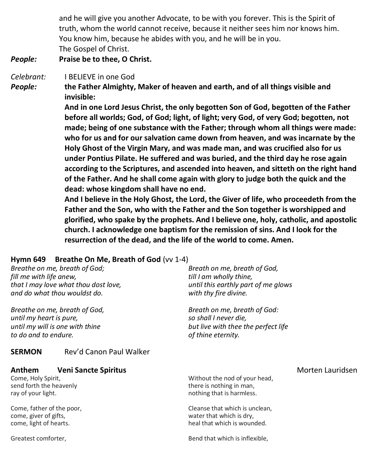and he will give you another Advocate, to be with you forever. This is the Spirit of truth, whom the world cannot receive, because it neither sees him nor knows him. You know him, because he abides with you, and he will be in you. The Gospel of Christ.

#### *People:* **Praise be to thee, O Christ.**

*Celebrant:* I BELIEVE in one God

*People:* **the Father Almighty, Maker of heaven and earth, and of all things visible and invisible:**

> **And in one Lord Jesus Christ, the only begotten Son of God, begotten of the Father before all worlds; God, of God; light, of light; very God, of very God; begotten, not made; being of one substance with the Father; through whom all things were made: who for us and for our salvation came down from heaven, and was incarnate by the Holy Ghost of the Virgin Mary, and was made man, and was crucified also for us under Pontius Pilate. He suffered and was buried, and the third day he rose again according to the Scriptures, and ascended into heaven, and sitteth on the right hand of the Father. And he shall come again with glory to judge both the quick and the dead: whose kingdom shall have no end.**

> **And I believe in the Holy Ghost, the Lord, the Giver of life, who proceedeth from the Father and the Son, who with the Father and the Son together is worshipped and glorified, who spake by the prophets. And I believe one, holy, catholic, and apostolic church. I acknowledge one baptism for the remission of sins. And I look for the resurrection of the dead, and the life of the world to come. Amen.**

#### **Hymn 649 Breathe On Me, Breath of God** (vv 1-4)

| Breathe on me, breath of God;<br>fill me with life anew,<br>that I may love what thou dost love,<br>and do what thou wouldst do. | Breath on me, breath of God,<br>till I am wholly thine,<br>until this earthly part of me glows<br>with thy fire divine. |                  |
|----------------------------------------------------------------------------------------------------------------------------------|-------------------------------------------------------------------------------------------------------------------------|------------------|
| Breathe on me, breath of God,<br>until my heart is pure,<br>until my will is one with thine<br>to do and to endure.              | Breath on me, breath of God:<br>so shall I never die,<br>but live with thee the perfect life<br>of thine eternity.      |                  |
| Rev'd Canon Paul Walker<br><b>SERMON</b>                                                                                         |                                                                                                                         |                  |
| Anthem<br><b>Veni Sancte Spiritus</b><br>Come, Holy Spirit,<br>send forth the heavenly<br>ray of your light.                     | Without the nod of your head,<br>there is nothing in man,<br>nothing that is harmless.                                  | Morten Lauridsen |

Come, father of the poor, come, giver of gifts, come, light of hearts.

Greatest comforter,

Bend that which is inflexible,

Cleanse that which is unclean, water that which is dry, heal that which is wounded.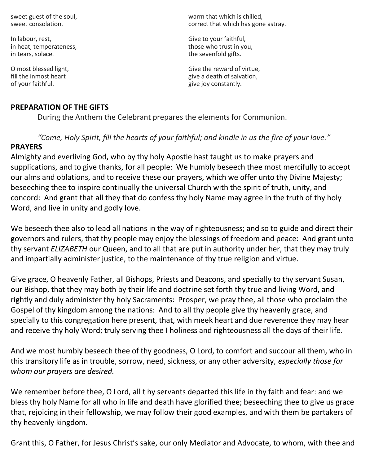sweet guest of the soul, sweet consolation.

In labour, rest, in heat, temperateness, in tears, solace.

O most blessed light, fill the inmost heart of your faithful.

#### **PREPARATION OF THE GIFTS**

warm that which is chilled, correct that which has gone astray.

Give to your faithful, those who trust in you, the sevenfold gifts.

Give the reward of virtue, give a death of salvation, give joy constantly.

During the Anthem the Celebrant prepares the elements for Communion.

*"Come, Holy Spirit, fill the hearts of your faithful; and kindle in us the fire of your love."*

#### **PRAYERS**

Almighty and everliving God, who by thy holy Apostle hast taught us to make prayers and supplications, and to give thanks, for all people: We humbly beseech thee most mercifully to accept our alms and oblations, and to receive these our prayers, which we offer unto thy Divine Majesty; beseeching thee to inspire continually the universal Church with the spirit of truth, unity, and concord: And grant that all they that do confess thy holy Name may agree in the truth of thy holy Word, and live in unity and godly love.

We beseech thee also to lead all nations in the way of righteousness; and so to guide and direct their governors and rulers, that thy people may enjoy the blessings of freedom and peace: And grant unto thy servant *ELIZABETH* our Queen, and to all that are put in authority under her, that they may truly and impartially administer justice, to the maintenance of thy true religion and virtue.

Give grace, O heavenly Father, all Bishops, Priests and Deacons, and specially to thy servant Susan, our Bishop, that they may both by their life and doctrine set forth thy true and living Word, and rightly and duly administer thy holy Sacraments: Prosper, we pray thee, all those who proclaim the Gospel of thy kingdom among the nations: And to all thy people give thy heavenly grace, and specially to this congregation here present, that, with meek heart and due reverence they may hear and receive thy holy Word; truly serving thee I holiness and righteousness all the days of their life.

And we most humbly beseech thee of thy goodness, O Lord, to comfort and succour all them, who in this transitory life as in trouble, sorrow, need, sickness, or any other adversity, *especially those for whom our prayers are desired.*

We remember before thee, O Lord, all t hy servants departed this life in thy faith and fear: and we bless thy holy Name for all who in life and death have glorified thee; beseeching thee to give us grace that, rejoicing in their fellowship, we may follow their good examples, and with them be partakers of thy heavenly kingdom.

Grant this, O Father, for Jesus Christ's sake, our only Mediator and Advocate, to whom, with thee and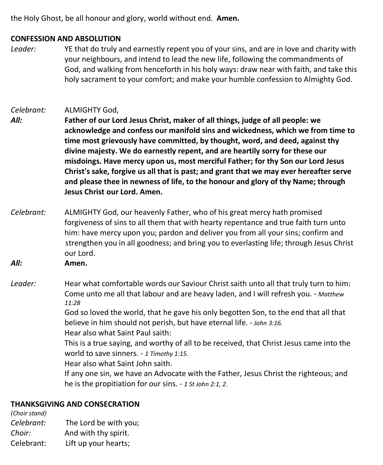the Holy Ghost, be all honour and glory, world without end. **Amen.**

#### **CONFESSION AND ABSOLUTION**

*Leader:* YE that do truly and earnestly repent you of your sins, and are in love and charity with your neighbours, and intend to lead the new life, following the commandments of God, and walking from henceforth in his holy ways: draw near with faith, and take this holy sacrament to your comfort; and make your humble confession to Almighty God.

#### *Celebrant:* ALMIGHTY God,

- *All:* **Father of our Lord Jesus Christ, maker of all things, judge of all people: we acknowledge and confess our manifold sins and wickedness, which we from time to time most grievously have committed, by thought, word, and deed, against thy divine majesty. We do earnestly repent, and are heartily sorry for these our misdoings. Have mercy upon us, most merciful Father; for thy Son our Lord Jesus Christ's sake, forgive us all that is past; and grant that we may ever hereafter serve and please thee in newness of life, to the honour and glory of thy Name; through Jesus Christ our Lord. Amen.**
- *Celebrant:* ALMIGHTY God, our heavenly Father, who of his great mercy hath promised forgiveness of sins to all them that with hearty repentance and true faith turn unto him: have mercy upon you; pardon and deliver you from all your sins; confirm and strengthen you in all goodness; and bring you to everlasting life; through Jesus Christ our Lord.

*All:* **Amen.**

*Leader:* Hear what comfortable words our Saviour Christ saith unto all that truly turn to him: Come unto me all that labour and are heavy laden, and I will refresh you. - *Matthew 11:28*

God so loved the world, that he gave his only begotten Son, to the end that all that believe in him should not perish, but have eternal life. - *John 3:16.* Hear also what Saint Paul saith:

This is a true saying, and worthy of all to be received, that Christ Jesus came into the world to save sinners. - *1 Timothy 1:15.*

Hear also what Saint John saith.

If any one sin, we have an Advocate with the Father, Jesus Christ the righteous; and he is the propitiation for our sins. - *1 St John 2:1, 2*.

#### **THANKSGIVING AND CONSECRATION**

*(Choir stand) Celebrant:* The Lord be with you; *Choir:* And with thy spirit. Celebrant: Lift up your hearts;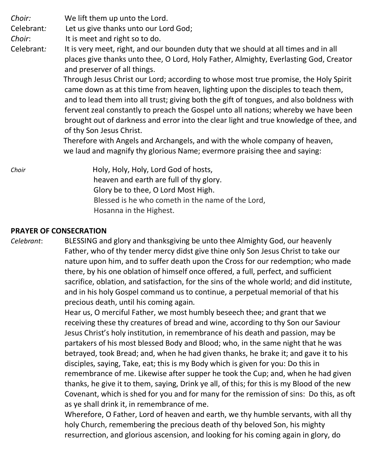*Choir:* We lift them up unto the Lord.

Celebrant*:* Let us give thanks unto our Lord God;

*Choir*: It is meet and right so to do.

Celebrant*:* It is very meet, right, and our bounden duty that we should at all times and in all places give thanks unto thee, O Lord, Holy Father, Almighty, Everlasting God, Creator and preserver of all things.

> Through Jesus Christ our Lord; according to whose most true promise, the Holy Spirit came down as at this time from heaven, lighting upon the disciples to teach them, and to lead them into all trust; giving both the gift of tongues, and also boldness with fervent zeal constantly to preach the Gospel unto all nations; whereby we have been brought out of darkness and error into the clear light and true knowledge of thee, and of thy Son Jesus Christ.

 Therefore with Angels and Archangels, and with the whole company of heaven, we laud and magnify thy glorious Name; evermore praising thee and saying:

*Choir* **Holy, Holy, Holy, Lord God of hosts,**  heaven and earth are full of thy glory. Glory be to thee, O Lord Most High. Blessed is he who cometh in the name of the Lord, Hosanna in the Highest.

#### **PRAYER OF CONSECRATION**

*Celebrant*: BLESSING and glory and thanksgiving be unto thee Almighty God, our heavenly Father, who of thy tender mercy didst give thine only Son Jesus Christ to take our nature upon him, and to suffer death upon the Cross for our redemption; who made there, by his one oblation of himself once offered, a full, perfect, and sufficient sacrifice, oblation, and satisfaction, for the sins of the whole world; and did institute, and in his holy Gospel command us to continue, a perpetual memorial of that his precious death, until his coming again.

> Hear us, O merciful Father, we most humbly beseech thee; and grant that we receiving these thy creatures of bread and wine, according to thy Son our Saviour Jesus Christ's holy institution, in remembrance of his death and passion, may be partakers of his most blessed Body and Blood; who, in the same night that he was betrayed, took Bread; and, when he had given thanks, he brake it; and gave it to his disciples, saying, Take, eat; this is my Body which is given for you: Do this in remembrance of me. Likewise after supper he took the Cup; and, when he had given thanks, he give it to them, saying, Drink ye all, of this; for this is my Blood of the new Covenant, which is shed for you and for many for the remission of sins: Do this, as oft as ye shall drink it, in remembrance of me.

Wherefore, O Father, Lord of heaven and earth, we thy humble servants, with all thy holy Church, remembering the precious death of thy beloved Son, his mighty resurrection, and glorious ascension, and looking for his coming again in glory, do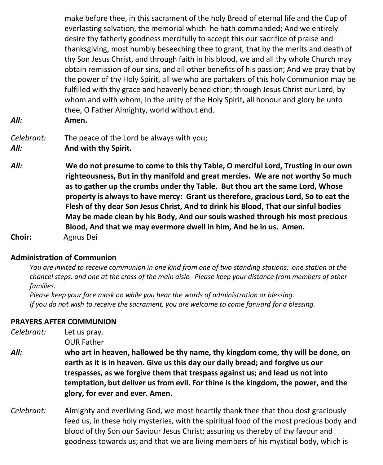make before thee, in this sacrament of the holy Bread of eternal life and the Cup of everlasting salvation, the memorial which he hath commanded; And we entirely desire thy fatherly goodness mercifully to accept this our sacrifice of praise and thanksgiving, most humbly beseeching thee to grant, that by the merits and death of thy Son Jesus Christ, and through faith in his blood, we and all thy whole Church may obtain remission of our sins, and all other benefits of his passion; And we pray that by the power of thy Holy Spirit, all we who are partakers of this holy Communion may be fulfilled with thy grace and heavenly benediction; through Jesus Christ our Lord, by whom and with whom, in the unity of the Holy Spirit, all honour and glory be unto thee, O Father Almighty, world without end. *All:* **Amen.**

- *Celebrant:* The peace of the Lord be always with you; *All:* **And with thy Spirit.**
- *All:* **We do not presume to come to this thy Table, O merciful Lord, Trusting in our own righteousness, But in thy manifold and great mercies. We are not worthy So much as to gather up the crumbs under thy Table. But thou art the same Lord, Whose property is always to have mercy: Grant us therefore, gracious Lord, So to eat the Flesh of thy dear Son Jesus Christ, And to drink his Blood, That our sinful bodies May be made clean by his Body, And our souls washed through his most precious Blood, And that we may evermore dwell in him, And he in us. Amen. Choir:** Agnus Dei

#### **Administration of Communion**

You are invited to receive communion in one kind from one of two standing stations: one station at the chancel steps, and one at the cross of the main aisle. Please keep your distance from members of other  *families.*

 *Please keep your face mask on while you hear the words of administration or blessing. If you do not wish to receive the sacrament, you are welcome to come forward for a blessing.*

#### **PRAYERS AFTER COMMUNION**

| Celebrant: | Let us pray.                                                                                                                                                                                                                                                                                                                                                                |  |
|------------|-----------------------------------------------------------------------------------------------------------------------------------------------------------------------------------------------------------------------------------------------------------------------------------------------------------------------------------------------------------------------------|--|
|            | <b>OUR Father</b>                                                                                                                                                                                                                                                                                                                                                           |  |
| All:       | who art in heaven, hallowed be thy name, thy kingdom come, thy will be done, on<br>earth as it is in heaven. Give us this day our daily bread; and forgive us our<br>trespasses, as we forgive them that trespass against us; and lead us not into<br>temptation, but deliver us from evil. For thine is the kingdom, the power, and the<br>glory, for ever and ever. Amen. |  |
| Celebrant: | Almighty and everliving God, we most heartily thank thee that thou dost graciously<br>feed us, in these holy mysteries, with the spiritual food of the most precious body and<br>blood of thy Son our Saviour Jesus Christ; assuring us thereby of thy favour and                                                                                                           |  |

goodness towards us; and that we are living members of his mystical body, which is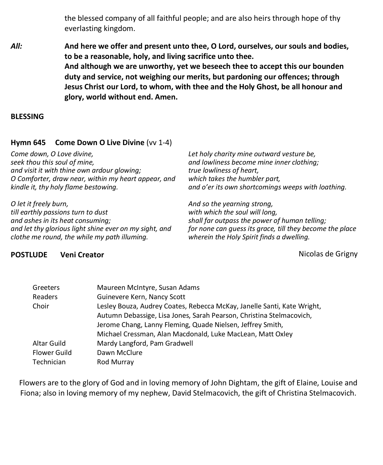the blessed company of all faithful people; and are also heirs through hope of thy everlasting kingdom.

*All:* **And here we offer and present unto thee, O Lord, ourselves, our souls and bodies, to be a reasonable, holy, and living sacrifice unto thee. And although we are unworthy, yet we beseech thee to accept this our bounden duty and service, not weighing our merits, but pardoning our offences; through Jesus Christ our Lord, to whom, with thee and the Holy Ghost, be all honour and glory, world without end. Amen.**

#### **BLESSING**

#### **Hymn 645 Come Down O Live Divine** (vv 1-4)

*Come down, O Love divine, seek thou this soul of mine, and visit it with thine own ardour glowing; O Comforter, draw near, within my heart appear, and kindle it, thy holy flame bestowing.*

*O let it freely burn, till earthly passions turn to dust and ashes in its heat consuming; and let thy glorious light shine ever on my sight, and clothe me round, the while my path illuming.*

*Let holy charity mine outward vesture be, and lowliness become mine inner clothing; true lowliness of heart, which takes the humbler part, and o'er its own shortcomings weeps with loathing.*

*And so the yearning strong, with which the soul will long, shall far outpass the power of human telling; for none can guess its grace, till they become the place wherein the Holy Spirit finds a dwelling.*

#### **POSTLUDE Veni Creator** Nicolas de Grigny

| Greeters            | Maureen McIntyre, Susan Adams                                           |
|---------------------|-------------------------------------------------------------------------|
| Readers             | Guinevere Kern, Nancy Scott                                             |
| Choir               | Lesley Bouza, Audrey Coates, Rebecca McKay, Janelle Santi, Kate Wright, |
|                     | Autumn Debassige, Lisa Jones, Sarah Pearson, Christina Stelmacovich,    |
|                     | Jerome Chang, Lanny Fleming, Quade Nielsen, Jeffrey Smith,              |
|                     | Michael Cressman, Alan Macdonald, Luke MacLean, Matt Oxley              |
| Altar Guild         | Mardy Langford, Pam Gradwell                                            |
| <b>Flower Guild</b> | Dawn McClure                                                            |
| Technician          | Rod Murray                                                              |

Flowers are to the glory of God and in loving memory of John Dightam, the gift of Elaine, Louise and Fiona; also in loving memory of my nephew, David Stelmacovich, the gift of Christina Stelmacovich.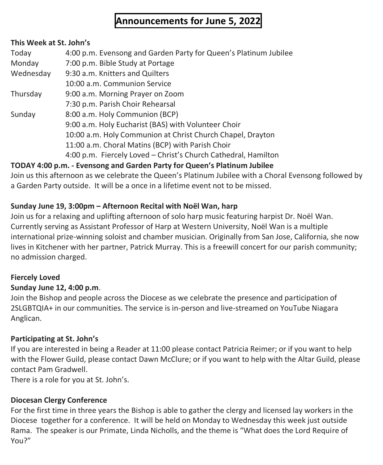# **Announcements for June 5, 2022**

#### **This Week at St. John's**

| Today     | 4:00 p.m. Evensong and Garden Party for Queen's Platinum Jubilee |
|-----------|------------------------------------------------------------------|
| Monday    | 7:00 p.m. Bible Study at Portage                                 |
| Wednesday | 9:30 a.m. Knitters and Quilters                                  |
|           | 10:00 a.m. Communion Service                                     |
| Thursday  | 9:00 a.m. Morning Prayer on Zoom                                 |
|           | 7:30 p.m. Parish Choir Rehearsal                                 |
| Sunday    | 8:00 a.m. Holy Communion (BCP)                                   |
|           | 9:00 a.m. Holy Eucharist (BAS) with Volunteer Choir              |
|           | 10:00 a.m. Holy Communion at Christ Church Chapel, Drayton       |
|           | 11:00 a.m. Choral Matins (BCP) with Parish Choir                 |
|           | 4:00 p.m. Fiercely Loved - Christ's Church Cathedral, Hamilton   |

### **TODAY 4:00 p.m. - Evensong and Garden Party for Queen's Platinum Jubilee**

Join us this afternoon as we celebrate the Queen's Platinum Jubilee with a Choral Evensong followed by a Garden Party outside. It will be a once in a lifetime event not to be missed.

### **Sunday June 19, 3:00pm – Afternoon Recital with Noël Wan, harp**

Join us for a relaxing and uplifting afternoon of solo harp music featuring harpist Dr. Noël Wan. Currently serving as Assistant Professor of Harp at Western University, Noël Wan is a multiple international prize-winning soloist and chamber musician. Originally from San Jose, California, she now lives in Kitchener with her partner, Patrick Murray. This is a freewill concert for our parish community; no admission charged.

### **Fiercely Loved**

### **Sunday June 12, 4:00 p.m**.

Join the Bishop and people across the Diocese as we celebrate the presence and participation of 2SLGBTQIA+ in our communities. The service is in-person and live-streamed on YouTube Niagara Anglican.

### **Participating at St. John's**

If you are interested in being a Reader at 11:00 please contact Patricia Reimer; or if you want to help with the Flower Guild, please contact Dawn McClure; or if you want to help with the Altar Guild, please contact Pam Gradwell.

There is a role for you at St. John's.

### **Diocesan Clergy Conference**

For the first time in three years the Bishop is able to gather the clergy and licensed lay workers in the Diocese together for a conference. It will be held on Monday to Wednesday this week just outside Rama. The speaker is our Primate, Linda Nicholls, and the theme is "What does the Lord Require of You?"